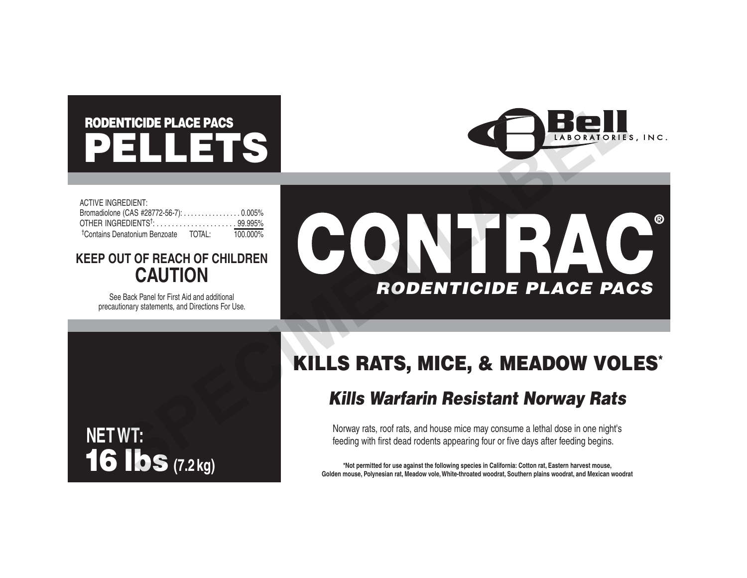# PELLETS RODENTICIDE PLACE PACS



| <b>ACTIVE INGREDIENT:</b>                        |             |
|--------------------------------------------------|-------------|
| Bromadiolone (CAS #28772-56-7): 0.005%           |             |
|                                                  |             |
| <sup>†</sup> Contains Denatonium Benzoate TOTAL: | $100.000\%$ |

### **KEEP OUT OF REACH OF CHILDREN CAUTION**

See Back Panel for First Aid and additional precautionary statements, and Directions For Use.



## KILLS RATS, MICE, & MEADOW VOLES\*

### *Kills Warfarin Resistant Norway Rats*

Norway rats, roof rats, and house mice may consume a lethal dose in one night's feeding with first dead rodents appearing four or five days after feeding begins.

**\*Not permitted for use against the following species in California: Cotton rat, Eastern harvest mouse, Golden mouse, Polynesian rat, Meadow vole, White-throated woodrat, Southern plains woodrat, and Mexican woodrat**

## **NET WT:** 16 lbs **(7.2 kg)**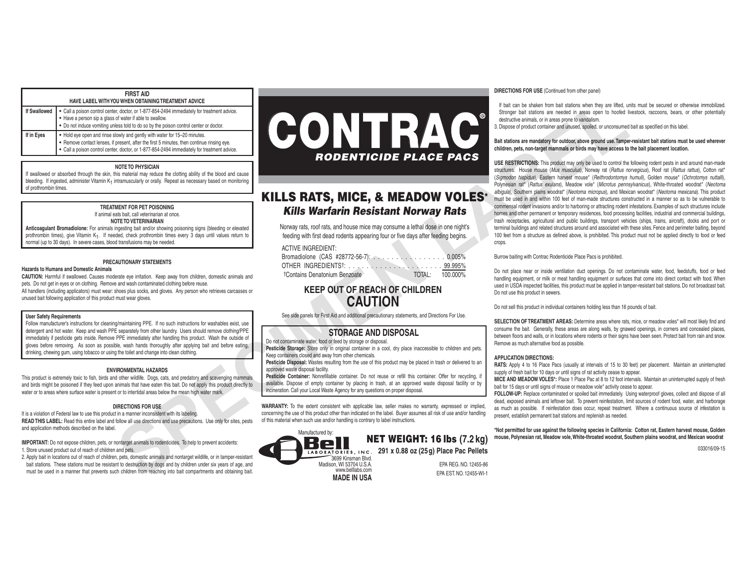#### **FIRST AID**

| HAVE LABEL WITH YOU WHEN OBTAINING TREATMENT ADVICE |                                                                                                                                                                                                                                                                        |  |  |  |
|-----------------------------------------------------|------------------------------------------------------------------------------------------------------------------------------------------------------------------------------------------------------------------------------------------------------------------------|--|--|--|
| If Swallowed                                        | • Call a poison control center, doctor, or 1-877-854-2494 immediately for treatment advice.<br>• Have a person sip a glass of water if able to swallow.<br>. Do not induce vomiting unless told to do so by the poison control center or doctor.                       |  |  |  |
| If in Eyes                                          | • Hold eye open and rinse slowly and gently with water for 15-20 minutes.<br>• Remove contact lenses, if present, after the first 5 minutes, then continue rinsing eye.<br>• Call a poison control center, doctor, or 1-877-854-2494 immediately for treatment advice. |  |  |  |

#### **NOTE TO PHYSICIAN**

If swallowed or absorbed through the skin, this material may reduce the clotting ability of the blood and cause bleeding. If ingested, administer Vitamin K<sub>1</sub> intramuscularly or orally. Repeat as necessary based on monitoring of prothrombin times.

> **TREATMENT FOR PET POISONING** If animal eats bait, call veterinarian at once. **NOTE TO VETERINARIAN**

**Anticoagulant Bromadiolone:** For animals ingesting bait and/or showing poisoning signs (bleeding or elevated prothrombin times), give Vitamin K<sub>1</sub>. If needed, check prothrombin times every 3 days until values return to normal (up to 30 days). In severe cases, blood transfusions may be needed.

#### **PRECAUTIONARY STATEMENTS**

#### **Hazards to Humans and Domestic Animals**

**CAUTION:** Harmful if swallowed. Causes moderate eye irritation. Keep away from children, domestic animals and pets. Do not get in eyes or on clothing. Remove and wash contaminated clothing before reuse. All handlers (including applicators) must wear: shoes plus socks, and gloves. Any person who retrieves carcasses or unused bait following application of this product must wear gloves.

#### **User Safety Requirements**

Follow manufacturer's instructions for cleaning/maintaining PPE. If no such instructions for washables exist, use detergent and hot water. Keep and wash PPE separately from other laundry. Users should remove clothing/PPE immediately if pesticide gets inside. Remove PPE immediately after handling this product. Wash the outside of gloves before removing. As soon as possible, wash hands thoroughly after applying bait and before eating, drinking, chewing gum, using tobacco or using the toilet and change into clean clothing.

#### **ENVIRONMENTAL HAZARDS**

This product is extremely toxic to fish, birds and other wildlife. Dogs, cats, and predatory and scavenging mammals and birds might be poisoned if they feed upon animals that have eaten this bait. Do not apply this product directly to water or to areas where surface water is present or to intertidal areas below the mean high water mark.

#### **DIRECTIONS FOR USE**

It is a violation of Federal law to use this product in a manner inconsistent with its labeling. **READ THIS LABEL:** Read this entire label and follow all use directions and use precautions. Use only for sites, pests and application methods described on the label.

**IMPORTANT:** Do not expose children, pets, or nontarget animals to rodenticides. To help to prevent accidents: 1. Store unused product out of reach of children and pets.

2. Apply bait in locations out of reach of children, pets, domestic animals and nontarget wildlife, or in tamper-resistant bait stations. These stations must be resistant to destruction by dogs and by children under six years of age, and must be used in a manner that prevents such children from reaching into bait compartments and obtaining bait.



### KILLS RATS, MICE, & MEADOW VOLES\* *Kills Warfarin Resistant Norway Rats*

Norway rats, roof rats, and house mice may consume a lethal dose in one night's feeding with first dead rodents appearing four or five days after feeding begins.

#### ACTIVE INGREDIENT:

| Bromadiolone (CAS #28772-56-7): 0.005%    |        |          |
|-------------------------------------------|--------|----------|
|                                           |        |          |
| <sup>†</sup> Contains Denatonium Benzoate | TOTAL: | 100.000% |

### **KEEP OUT OF REACH OF CHILDREN CAUTION**

See side panels for First Aid and additional precautionary statements, and Directions For Use.

#### **STORAGE AND DISPOSAL**

Do not contaminate water, food or feed by storage or disposal.

**Pesticide Storage:** Store only in original container in a cool, dry place inaccessible to children and pets. Keep containers closed and away from other chemicals.

**Pesticide Disposal:** Wastes resulting from the use of this product may be placed in trash or delivered to an approved waste disposal facility.

**Pesticide Container:** Nonrefillable container. Do not reuse or refill this container. Offer for recycling, if available. Dispose of empty container by placing in trash, at an approved waste disposal facility or by incineration. Call your Local Waste Agency for any questions on proper disposal.

**WARRANTY:** To the extent consistent with applicable law, seller makes no warranty, expressed or implied, concerning the use of this product other than indicated on the label. Buyer assumes all risk of use and/or handling of this material when such use and/or handling is contrary to label instructions.

#### NET WEIGHT: 16 lbs **(7.2 kg)** LABORATORIES, INC. 291 x 0.88 oz (25g) Place Pac Pellets EPA REG. NO. 12455-86 Manufactured by: 3699 Kinsman Blvd. Madison, WI 53704 U.S.A. www.belllabs.com WW.Delliabs.com<br> **MADE IN USA** EPA EST. NO. 12455-WI-1

#### **DIRECTIONS FOR USE** (Continued from other panel)

 If bait can be shaken from bait stations when they are lifted, units must be secured or otherwise immobilized. Stronger bait stations are needed in areas open to hoofed livestock, raccoons, bears, or other potentially destructive animals, or in areas prone to vandalism.

3. Dispose of product container and unused, spoiled, or unconsumed bait as specified on this label.

#### **Bait stations are mandatory for outdoor, above ground use. Tamper-resistant bait stations must be used wherever children, pets, non-target mammals or birds may have access to the bait placement location.**

**USE RESTRICTIONS:** This product may only be used to control the following rodent pests in and around man-made structures: House mouse (*Mus musculus*), Norway rat (*Rattus norvegicus*), Roof rat (*Rattus rattus*), Cotton rat\* (*Sigmodon hispidus*), Eastern harvest mouse\* (*Reithrodontomys humuli*), Golden mouse\* (*Ochrotomys nuttalli*), Polynesian rat\* (*Rattus exulans*), Meadow vole\* (*Microtus pennsylvanicus*), White-throated woodrat\* (*Neotoma albigula*), Southern plains woodrat\* (*Neotoma micropus*), and Mexican woodrat\* (*Neotoma mexicana*). This product must be used in and within 100 feet of man-made structures constructed in a manner so as to be vulnerable to commensal rodent invasions and/or to harboring or attracting rodent infestations. Examples of such structures include homes and other permanent or temporary residences, food processing facilities, industrial and commercial buildings, trash receptacles, agricultural and public buildings, transport vehicles (ships, trains, aircraft), docks and port or terminal buildings and related structures around and associated with these sites. Fence and perimeter baiting, beyond 100 feet from a structure as defined above, is prohibited. This product must not be applied directly to food or feed crops.

Burrow baiting with Contrac Rodenticide Place Pacs is prohibited.

Do not place near or inside ventilation duct openings. Do not contaminate water, food, feedstuffs, food or feed handling equipment, or milk or meat handling equipment or surfaces that come into direct contact with food. When used in USDA inspected facilities, this product must be applied in tamper-resistant bait stations. Do not broadcast bait. Do not use this product in sewers.

Do not sell this product in individual containers holding less than 16 pounds of bait.

SELECTION OF TREATMENT AREAS: Determine areas where rats, mice, or meadow voles<sup>\*</sup> will most likely find and consume the bait. Generally, these areas are along walls, by gnawed openings, in corners and concealed places, between floors and walls, or in locations where rodents or their signs have been seen. Protect bait from rain and snow. Remove as much alternative food as possible.

#### **APPLICATION DIRECTIONS:**

**RATS:** Apply 4 to 16 Place Pacs (usually at intervals of 15 to 30 feet) per placement. Maintain an uninterrupted supply of fresh bait for 10 days or until signs of rat activity cease to appear.

**MICE AND MEADOW VOLES\*:** Place 1 Place Pac at 8 to 12 foot intervals. Maintain an uninterrupted supply of fresh bait for 15 days or until signs of mouse or meadow vole\* activity cease to appear.

**FOLLOW-UP:** Replace contaminated or spoiled bait immediately. Using waterproof gloves, collect and dispose of all dead, exposed animals and leftover bait. To prevent reinfestation, limit sources of rodent food, water, and harborage as much as possible. If reinfestation does occur, repeat treatment. Where a continuous source of infestation is present, establish permanent bait stations and replenish as needed.

**\*Not permitted for use against the following species in California: Cotton rat, Eastern harvest mouse, Golden mouse, Polynesian rat, Meadow vole, White-throated woodrat, Southern plains woodrat, and Mexican woodrat**

033016/09-15